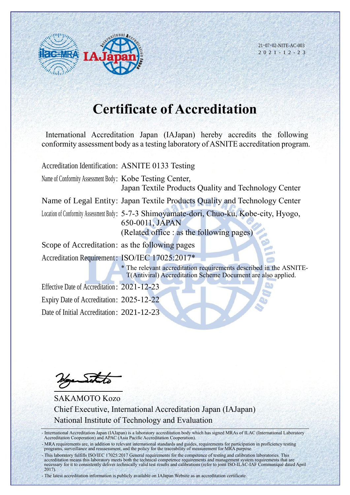

 $21 \cdot 07 \cdot 02$ -NITE-AC-003 2 0 2 1 - 1 2 - 2 3

## **Certificate of Accreditation**

International Accreditation Japan (IAJapan) hereby accredits the following conformity assessment body as a testing laboratory of ASNITE accreditation program.

Accreditation Identification: ASNITE 0133 Testing

Name of Conformity Assessment Body: Kobe Testing Center, Japan Textile Products Quality and Technology Center Name of Legal Entity: Japan Textile Products Quality and Technology Center Location of Conformity Assessment Body: 5-7-3 Shimoyamate-dori, Chuo-ku, Kobe-city, Hyogo, 650-0011, JAPAN (Related office : as the following pages)

Scope of Accreditation: as the following pages Accreditation Requirement: ISO/IEC 17025:2017\*

> \* The relevant accreditation requirements described in the ASNITE-T(Antiviral) Accreditation Scheme Document are also applied.

Effective Date of Accreditation : 2021-12-23 Expiry Date of Accreditation: 2025-12-22 Date of Initial Accreditation: 2021-12-23

SAKAMOTO Kozo Chief Executive, International Accreditation Japan (IAJapan) National Institute of Technology and Evaluation

- International Accreditation Japan (IAJapan) is a laboratory accreditation body which has signed MRAs of ILAC (International Laboratory Accreditation Cooperation) and APAC (Asia Pacific Accreditation Cooperation).

- MRA requirements are, in addition to relevant international standards and guides, requirements for participation in proficiency testing programs, surveillance and reassessment, and the policy for the traceability of measurement for MRA purpose.

- The latest accreditation information is publicly available on IAJapan Website as an accreditation certificate.

<sup>-</sup> This laboratory fulfills ISO/IEC 17025:2017 General requirements for the competence of testing and calibration laboratories. This accreditation means this laboratory meets both the technical competence requirements and management system requirements that are necessary for it to consistently deliver technically valid test results and calibrations (refer to joint ISO-ILAC-IAF Communiqué dated April 2017).